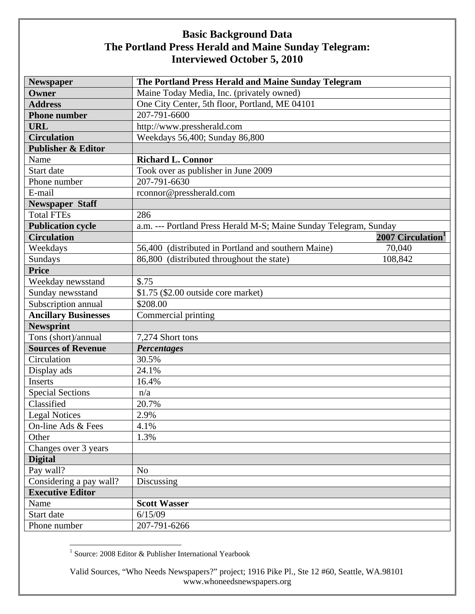| <b>Newspaper</b>              | The Portland Press Herald and Maine Sunday Telegram               |
|-------------------------------|-------------------------------------------------------------------|
| Owner                         | Maine Today Media, Inc. (privately owned)                         |
| <b>Address</b>                | One City Center, 5th floor, Portland, ME 04101                    |
| <b>Phone number</b>           | 207-791-6600                                                      |
| <b>URL</b>                    | http://www.pressherald.com                                        |
| <b>Circulation</b>            | Weekdays 56,400; Sunday 86,800                                    |
| <b>Publisher &amp; Editor</b> |                                                                   |
| Name                          | <b>Richard L. Connor</b>                                          |
| Start date                    | Took over as publisher in June 2009                               |
| Phone number                  | 207-791-6630                                                      |
| E-mail                        | rconnor@pressherald.com                                           |
| <b>Newspaper Staff</b>        |                                                                   |
| <b>Total FTEs</b>             | 286                                                               |
| <b>Publication cycle</b>      | a.m. --- Portland Press Herald M-S; Maine Sunday Telegram, Sunday |
| <b>Circulation</b>            | 2007 Circulation <sup>1</sup>                                     |
| Weekdays                      | 56,400 (distributed in Portland and southern Maine)<br>70,040     |
| Sundays                       | 86,800 (distributed throughout the state)<br>108,842              |
| <b>Price</b>                  |                                                                   |
| Weekday newsstand             | \$.75                                                             |
| Sunday newsstand              | \$1.75 (\$2.00 outside core market)                               |
| Subscription annual           | \$208.00                                                          |
| <b>Ancillary Businesses</b>   | Commercial printing                                               |
| <b>Newsprint</b>              |                                                                   |
| Tons (short)/annual           | 7,274 Short tons                                                  |
| <b>Sources of Revenue</b>     | <b>Percentages</b>                                                |
| Circulation                   | 30.5%                                                             |
| Display ads                   | 24.1%                                                             |
| Inserts                       | 16.4%                                                             |
| <b>Special Sections</b>       | n/a                                                               |
| Classified                    | 20.7%                                                             |
| <b>Legal Notices</b>          | 2.9%                                                              |
| On-line Ads & Fees            | 4.1%                                                              |
| Other                         | 1.3%                                                              |
| Changes over 3 years          |                                                                   |
| <b>Digital</b>                |                                                                   |
| Pay wall?                     | N <sub>o</sub>                                                    |
| Considering a pay wall?       | Discussing                                                        |
| <b>Executive Editor</b>       |                                                                   |
| Name                          | <b>Scott Wasser</b>                                               |
| Start date                    | 6/15/09                                                           |
| Phone number                  | 207-791-6266                                                      |

1 Source: 2008 Editor & Publisher International Yearbook

Valid Sources, "Who Needs Newspapers?" project; 1916 Pike Pl., Ste 12 #60, Seattle, WA.98101 www.whoneedsnewspapers.org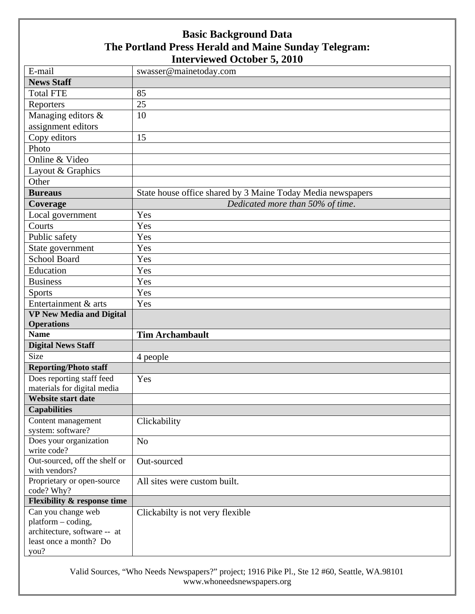| E-mail                                   | swasser@mainetoday.com                                      |
|------------------------------------------|-------------------------------------------------------------|
| <b>News Staff</b>                        |                                                             |
| <b>Total FTE</b>                         | 85                                                          |
| Reporters                                | 25                                                          |
| Managing editors &                       | 10                                                          |
| assignment editors                       |                                                             |
|                                          | 15                                                          |
| Copy editors<br>Photo                    |                                                             |
| Online & Video                           |                                                             |
|                                          |                                                             |
| Layout & Graphics                        |                                                             |
| Other                                    |                                                             |
| <b>Bureaus</b>                           | State house office shared by 3 Maine Today Media newspapers |
| Coverage                                 | Dedicated more than 50% of time.                            |
| Local government                         | Yes                                                         |
| Courts                                   | Yes                                                         |
| Public safety                            | Yes                                                         |
| State government                         | Yes                                                         |
| <b>School Board</b>                      | Yes                                                         |
| Education                                | Yes                                                         |
| <b>Business</b>                          | Yes                                                         |
| <b>Sports</b>                            | Yes                                                         |
| Entertainment & arts                     | Yes                                                         |
| <b>VP New Media and Digital</b>          |                                                             |
|                                          |                                                             |
| <b>Operations</b>                        |                                                             |
| <b>Name</b>                              | <b>Tim Archambault</b>                                      |
| <b>Digital News Staff</b>                |                                                             |
| <b>Size</b>                              | 4 people                                                    |
| <b>Reporting/Photo staff</b>             |                                                             |
| Does reporting staff feed                | Yes                                                         |
| materials for digital media              |                                                             |
| Website start date                       |                                                             |
| <b>Capabilities</b>                      |                                                             |
| Content management                       | Clickability                                                |
| system: software?                        |                                                             |
| Does your organization                   | N <sub>o</sub>                                              |
| write code?                              |                                                             |
| Out-sourced, off the shelf or            | Out-sourced                                                 |
| with vendors?                            |                                                             |
| Proprietary or open-source<br>code? Why? | All sites were custom built.                                |
| <b>Flexibility &amp; response time</b>   |                                                             |
| Can you change web                       | Clickabilty is not very flexible                            |
| platform - coding,                       |                                                             |
| architecture, software -- at             |                                                             |
| least once a month? Do<br>you?           |                                                             |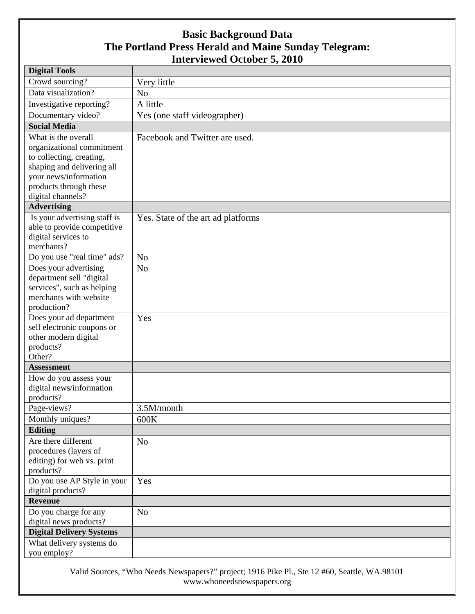| <b>Digital Tools</b>            |                                    |
|---------------------------------|------------------------------------|
| Crowd sourcing?                 | Very little                        |
| Data visualization?             | N <sub>o</sub>                     |
| Investigative reporting?        | A little                           |
| Documentary video?              | Yes (one staff videographer)       |
| <b>Social Media</b>             |                                    |
| What is the overall             | Facebook and Twitter are used.     |
| organizational commitment       |                                    |
| to collecting, creating,        |                                    |
| shaping and delivering all      |                                    |
| your news/information           |                                    |
| products through these          |                                    |
| digital channels?               |                                    |
| <b>Advertising</b>              |                                    |
| Is your advertising staff is    | Yes. State of the art ad platforms |
| able to provide competitive     |                                    |
| digital services to             |                                    |
| merchants?                      |                                    |
| Do you use "real time" ads?     | N <sub>o</sub>                     |
| Does your advertising           | N <sub>o</sub>                     |
| department sell "digital        |                                    |
| services", such as helping      |                                    |
| merchants with website          |                                    |
| production?                     |                                    |
| Does your ad department         | Yes                                |
| sell electronic coupons or      |                                    |
| other modern digital            |                                    |
| products?<br>Other?             |                                    |
| <b>Assessment</b>               |                                    |
| How do you assess your          |                                    |
| digital news/information        |                                    |
| products?                       |                                    |
| Page-views?                     | 3.5M/month                         |
| Monthly uniques?                | 600K                               |
| <b>Editing</b>                  |                                    |
| Are there different             | N <sub>o</sub>                     |
| procedures (layers of           |                                    |
| editing) for web vs. print      |                                    |
| products?                       |                                    |
| Do you use AP Style in your     | Yes                                |
| digital products?               |                                    |
| <b>Revenue</b>                  |                                    |
| Do you charge for any           | N <sub>o</sub>                     |
| digital news products?          |                                    |
| <b>Digital Delivery Systems</b> |                                    |
| What delivery systems do        |                                    |
| you employ?                     |                                    |

Valid Sources, "Who Needs Newspapers?" project; 1916 Pike Pl., Ste 12 #60, Seattle, WA.98101 www.whoneedsnewspapers.org